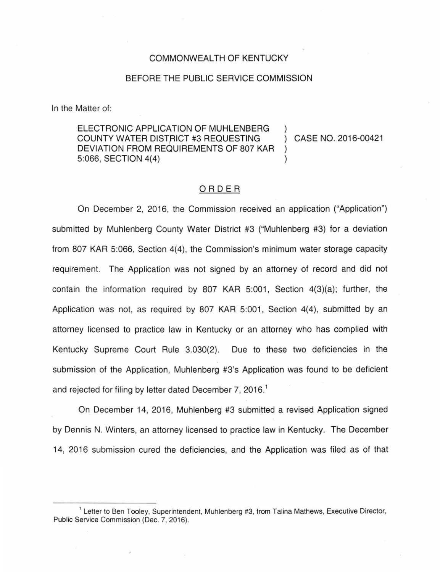## COMMONWEALTH OF KENTUCKY

## BEFORE THE PUBLIC SERVICE COMMISSION

In the Matter of:

ELECTRONIC APPLICATION OF MUHLENBERG COUNTY WATER DISTRICT #3 REQUESTING DEVIATION FROM REQUIREMENTS OF 807 KAR 5:066, SECTION 4(4)

CASE NO. 2016-00421

## ORDER

On December 2, 2016, the Commission received an application ("Application") submitted by Muhlenberg County Water District #3 ("Muhlenberg #3) for a deviation from 807 KAR 5:066, Section 4(4), the Commission's minimum water storage capacity requirement. The Application was not signed by an attorney of record and did not contain the information required by 807 KAR 5:001, Section  $4(3)(a)$ ; further, the Application was not, as required by 807 KAR 5:001, Section 4(4), submitted by an attorney licensed to practice law in Kentucky or an attorney who has complied with Kentucky Supreme Court Rule 3.030(2). Due to these two deficiencies in the submission of the Application, Muhlenberg #3's Application was found to be deficient and rejected for filing by letter dated December 7, 2016.<sup>1</sup>

On December 14, 2016, Muhlenberg #3 submitted a revised Application signed by Dennis N. Winters, an attorney licensed to practice law in Kentucky. The December 14, 2016 submission cured the deficiencies, and the Application was filed as of that

<sup>&</sup>lt;sup>1</sup> Letter to Ben Tooley, Superintendent, Muhlenberg #3, from Talina Mathews, Executive Director, Public Service Commission (Dec. 7, 2016).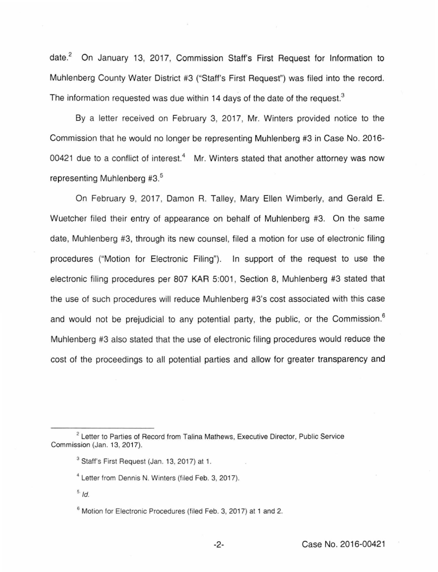date.<sup>2</sup> On January 13, 2017, Commission Staff's First Request for Information to Muhlenberg County Water District #3 ("Staff's First Request") was filed into the record. The information requested was due within 14 days of the date of the request. $3$ 

By a letter received on February 3, 2017, Mr. Winters provided notice to the Commission that he would no longer be representing Muhlenberg #3 in Case No. 2016- 00421 due to a conflict of interest.<sup>4</sup> Mr. Winters stated that another attorney was now representing Muhlenberg #3.<sup>5</sup>

On February 9, 2017, Damon R. Talley, Mary Ellen Wimberly, and Gerald E. Wuetcher filed their entry of appearance on behalf of Muhlenberg #3. On the same date, Muhlenberg #3, through its new counsel, filed a motion for use of electronic filing procedures ("Motion for Electronic Filing"). In support of the request to use the electronic filing procedures per 807 KAR 5:001, Section 8, Muhlenberg #3 stated that the use of such procedures will reduce Muhlenberg #3's cost associated with this case and would not be prejudicial to any potential party, the public, or the Commission.<sup>6</sup> Muhlenberg #3 also stated that the use of electronic filing procedures would reduce the cost of the proceedings to all potential parties and allow for greater transparency and

 $5/$ d.

<sup>&</sup>lt;sup>2</sup> Letter to Parties of Record from Talina Mathews, Executive Director, Public Service Commission (Jan. 13, 2017).

<sup>&</sup>lt;sup>3</sup> Staff's First Request (Jan. 13, 2017) at 1.

<sup>&</sup>lt;sup>4</sup> Letter from Dennis N. Winters (filed Feb. 3, 2017).

<sup>&</sup>lt;sup>6</sup> Motion for Electronic Procedures (filed Feb. 3, 2017) at 1 and 2.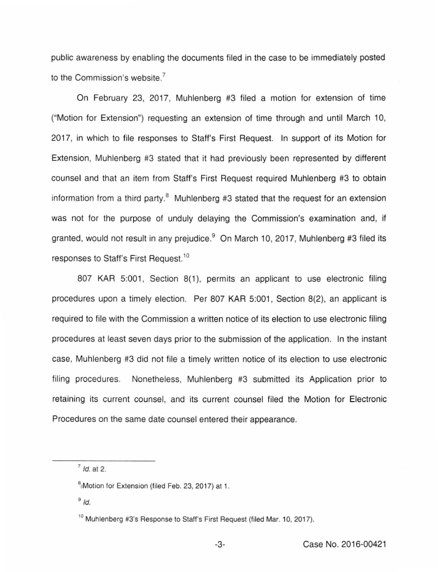public awareness by enabling the documents filed in the case to be immediately posted to the Commission's website.<sup>7</sup>

On February 23, 2017, Muhlenberg #3 filed a motion for extension of time ("Motion for Extension") requesting an extension of time through and until March 10, 2017, in which to file responses to Staff's. First Request. In support of its Motion for Extension, Muhlenberg #3 stated that it had previously been represented by different counsel and that an item from Staff's First Request required Muhlenberg #3 to obtain information from a third party. $8$  Muhlenberg #3 stated that the request for an extension was not for the purpose of unduly delaying the Commission's examination and, if granted, would not result in any prejudice.<sup>9</sup> On March 10, 2017, Muhlenberg #3 filed its responses to Staff's First Request.<sup>10</sup>

807 KAR 5:001, Section 8(1), permits an applicant to use electronic filing procedures upon a timely election. Per 807 KAR 5:001, Section 8(2), an applicant is required to file with the Commission a written notice of its election to use electronic filing procedures at least seven days prior to the submission of the application. In the instant case, Muhlenberg #3 did not file a timely written notice of its election to use electronic filing procedures. Nonetheless, Muhlenberg #3 submitted its Application prior to retaining its current counsel, and its current counsel filed the Motion for Electronic Procedures on the same date counsel entered their appearance.

<sup>7</sup>*/d.* at 2.

<sup>&</sup>lt;sup>8</sup> Motion for Extension (filed Feb. 23, 2017) at 1.

 $9/d$ .

<sup>&</sup>lt;sup>10</sup> Muhlenberg #3's Response to Staff's First Request (filed Mar. 10, 2017).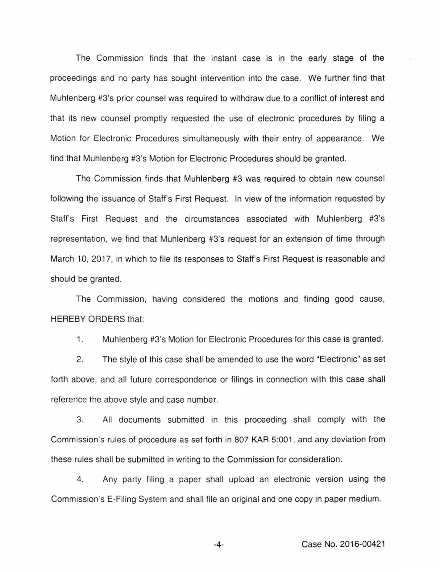The Commission finds that the instant case is in the early stage of the proceedings and no party has sought intervention into the case. We further find that Muhlenberg #3's prior counsel was required to withdraw due to a conflict of interest and that its new counsel promptly requested the use of electronic procedures by filing a Motion for Electronic Procedures simultaneously with their entry of appearance. We find that Muhlenberg #3's Motion for Electronic Procedures should be granted.

The Commission finds that Muhlenberg #3 was required to obtain new counsel following the issuance of Staff's First Request. In view of the information requested by Staff's First Request and the circumstances associated with Muhlenberg #3's representation, we find that Muhlenberg #3's request for an extension of time through March 10, 2017, in which to file its responses to Staff's First Request is reasonable and should be granted.

The Commission, having considered the motions and finding good cause, HEREBY ORDERS that:

1. Muhlenberg #3's Motion for Electronic Procedures for this case is granted.

2. The style of this case shall be amended to use the word "Electronic" as set forth above, and all future correspondence or filings in connection with this case shall reference the above style and case number.

3. All documents submitted in this proceeding shall comply with the Commission's rules of procedure as set forth in 807 KAR 5:001 , and any deviation from these rules shall be submitted in writing to the Commission for consideration.

4. Any party filing a paper shall upload an electronic version using the Commission's E-Filing System and shall file an original and one copy in paper medium.

-4- Case No. 2016-00421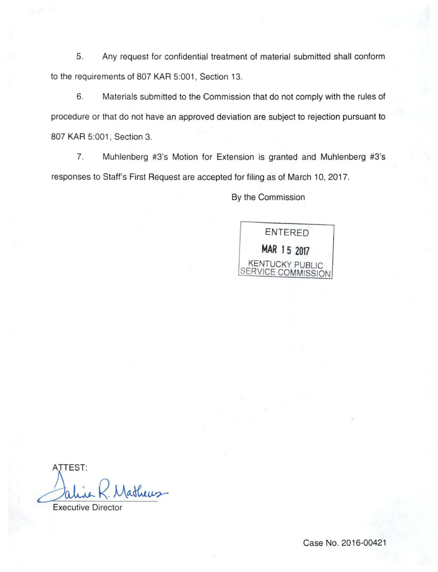5. Any request for confidential treatment of material submitted shall conform to the requirements of 807 KAR 5:001, Section 13.

6. Materials submitted to the Commission that do not comply with the rules of procedure or that do not have an approved deviation are subject to rejection pursuant to 807 KAR 5:001, Section 3.

7. Muhlenberg #3's Motion for Extension is granted and Muhlenberg #3's responses to Staff's First Request are accepted for filing as of March 10, 2017.

By the Commission

ENTERED **MAR 15 2017**  KENTUCKY PUBLIC SERVICE COMMISSION

ATTEST: athews alure K